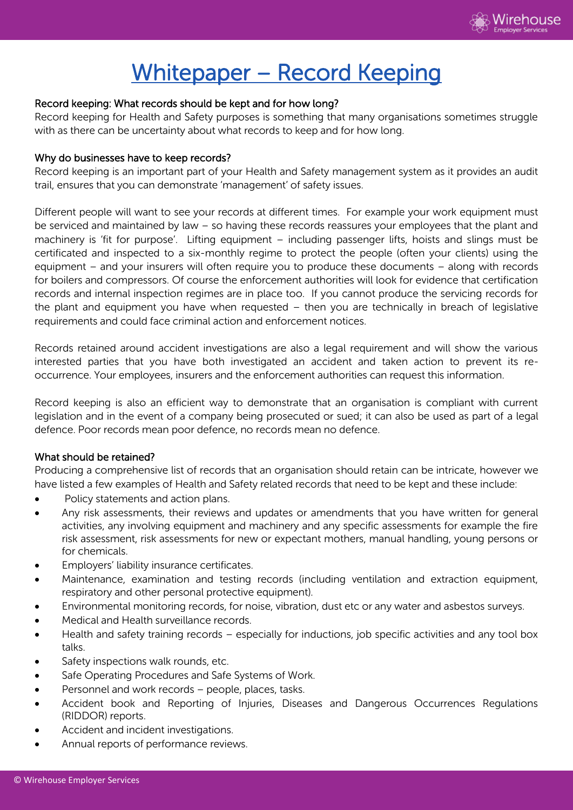

# Whitepaper – Record Keeping

# Record keeping: What records should be kept and for how long?

Record keeping for Health and Safety purposes is something that many organisations sometimes struggle with as there can be uncertainty about what records to keep and for how long.

#### Why do businesses have to keep records?

Record keeping is an important part of your Health and Safety management system as it provides an audit trail, ensures that you can demonstrate 'management' of safety issues.

Different people will want to see your records at different times. For example your work equipment must be serviced and maintained by law – so having these records reassures your employees that the plant and machinery is 'fit for purpose'. Lifting equipment – including passenger lifts, hoists and slings must be certificated and inspected to a six-monthly regime to protect the people (often your clients) using the equipment – and your insurers will often require you to produce these documents – along with records for boilers and compressors. Of course the enforcement authorities will look for evidence that certification records and internal inspection regimes are in place too. If you cannot produce the servicing records for the plant and equipment you have when requested  $-$  then you are technically in breach of legislative requirements and could face criminal action and enforcement notices.

Records retained around accident investigations are also a legal requirement and will show the various interested parties that you have both investigated an accident and taken action to prevent its reoccurrence. Your employees, insurers and the enforcement authorities can request this information.

Record keeping is also an efficient way to demonstrate that an organisation is compliant with current legislation and in the event of a company being prosecuted or sued; it can also be used as part of a legal defence. Poor records mean poor defence, no records mean no defence.

## What should be retained?

Producing a comprehensive list of records that an organisation should retain can be intricate, however we have listed a few examples of Health and Safety related records that need to be kept and these include:

- Policy statements and action plans.
- Any risk assessments, their reviews and updates or amendments that you have written for general activities, any involving equipment and machinery and any specific assessments for example the fire risk assessment, risk assessments for new or expectant mothers, manual handling, young persons or for chemicals.
- Employers' liability insurance certificates.
- Maintenance, examination and testing records (including ventilation and extraction equipment, respiratory and other personal protective equipment).
- Environmental monitoring records, for noise, vibration, dust etc or any water and asbestos surveys.
- Medical and Health surveillance records.
- Health and safety training records especially for inductions, job specific activities and any tool box talks.
- Safety inspections walk rounds, etc.
- Safe Operating Procedures and Safe Systems of Work.
- Personnel and work records people, places, tasks.
- Accident book and Reporting of Injuries, Diseases and Dangerous Occurrences Regulations (RIDDOR) reports.
- Accident and incident investigations.
- Annual reports of performance reviews.